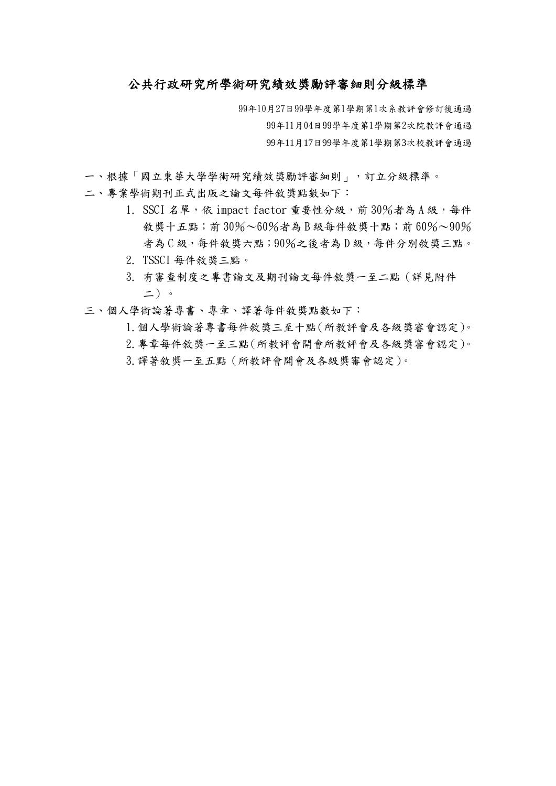## 公共行政研究所學術研究績效獎勵評審細則分級標準

99年10月27日99學年度第1學期第1次系教評會修訂後通過 99年11月04日99學年度第1學期第2次院教評會通過 99年11月17日99學年度第1學期第3次校教評會通過

- 一、根據「國立東華大學學術研究績效獎勵評審細則」,訂立分級標準。
- 二、專業學術期刊正式出版之論文每件敘獎點數如下:
	- 1. SSCI 名單,依 impact factor 重要性分級,前  $30\%$ 者為 A 級,每件 敘獎十五點;前 $30\% \sim 60\%$ 者為 B 級每件敘獎十點;前 $60\% \sim 90\%$ 者為 C 級,每件敘獎六點;90%之後者為 D 級,每件分別敘獎三點。
	- 2. TSSCI 每件敘獎三點。
	- 3. 有審查制度之專書論文及期刊論文每件敘獎一至二點(詳見附件 二)。
- 三、個人學術論著專書、專章、譯著每件敘獎點數如下:
	- 1.個人學術論著專書每件敘獎三至十點(所教評會及各級獎審會認定)。

2.專章每件敘獎一至三點(所教評會開會所教評會及各級獎審會認定)。 3.譯著敘獎一至五點(所教評會開會及各級獎審會認定)。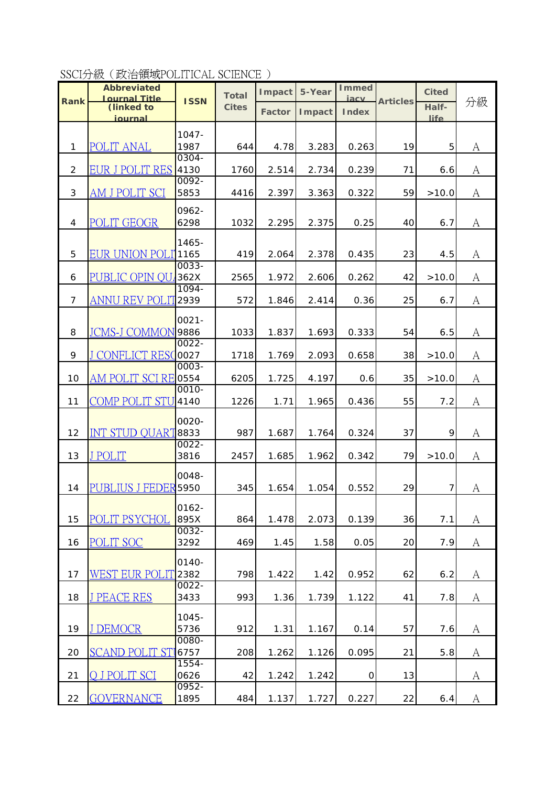SSCI分級(政治領域POLITICAL SCIENCE )

|                | <b>Abbreviated</b>                 |                  | <b>Total</b> | Impact        | 5-Year         | <b>Immed</b>         |                 | <b>Cited</b> |    |
|----------------|------------------------------------|------------------|--------------|---------------|----------------|----------------------|-----------------|--------------|----|
| Rank           | <b>Journal Title</b><br>(linked to | <b>ISSN</b>      | <b>Cites</b> | <b>Factor</b> | <b>I</b> mpact | iacy<br><b>Index</b> | <b>Articles</b> | Half-        | 分級 |
|                | journal                            |                  |              |               |                |                      |                 | <b>life</b>  |    |
|                |                                    | $1047 -$         |              |               |                |                      |                 |              |    |
| $\mathbf{1}$   | <b>POLIT ANAL</b>                  | 1987             | 644          | 4.78          | 3.283          | 0.263                | 19              | 5            | A  |
| 2              | EUR J POLIT RES                    | $0304 -$<br>4130 | 1760         | 2.514         | 2.734          | 0.239                | 71              | 6.6          | A  |
|                |                                    | $0092 -$         |              |               |                |                      |                 |              |    |
| 3              | AM J POLIT SCI                     | 5853             | 4416         | 2.397         | 3.363          | 0.322                | 59              | >10.0        | A  |
|                |                                    | 0962-            |              |               |                |                      |                 |              |    |
| 4              | <b>POLIT GEOGR</b>                 | 6298             | 1032         | 2.295         | 2.375          | 0.25                 | 40              | 6.7          | A  |
|                |                                    | 1465-            |              |               |                |                      |                 |              |    |
| 5              | <b>EUR UNION POLI'1165</b>         | $0033 -$         | 419          | 2.064         | 2.378          | 0.435                | 23              | 4.5          | A  |
| 6              | PUBLIC OPIN OU                     | 362X             | 2565         | 1.972         | 2.606          | 0.262                | 42              | >10.0        | A  |
|                |                                    | $1094 -$         |              |               |                |                      |                 |              |    |
| $\overline{7}$ | ANNU REV POLIT                     | 2939             | 572          | 1.846         | 2.414          | 0.36                 | 25              | 6.7          | A  |
|                |                                    | $0021 -$         |              |               |                |                      |                 |              |    |
| 8              | JCMS-J COMMON                      | 9886             | 1033         | 1.837         | 1.693          | 0.333                | 54              | 6.5          | A  |
| 9              | J CONFLICT RESC                    | $0022 -$<br>0027 | 1718         | 1.769         | 2.093          | 0.658                | 38              | >10.0        | A  |
|                |                                    | $0003 -$         |              |               |                |                      |                 |              |    |
| 10             | <b>AM POLIT SCI RE</b>             | 0554             | 6205         | 1.725         | 4.197          | 0.6                  | 35              | >10.0        | A  |
| 11             | COMP POLIT STU                     | $0010 -$<br>4140 | 1226         | 1.71          | 1.965          | 0.436                | 55              | 7.2          | A  |
|                |                                    | 0020-            |              |               |                |                      |                 |              |    |
| 12             | <b>INT STUD QUART8833</b>          |                  | 987          | 1.687         | 1.764          | 0.324                | 37              | 9            | A  |
|                |                                    | $0022 -$         |              |               |                |                      |                 |              |    |
| 13             | <b>J POLIT</b>                     | 3816             | 2457         | 1.685         | 1.962          | 0.342                | 79              | >10.0        | A  |
|                |                                    | 0048-            |              |               |                |                      |                 |              |    |
| 14             | <b>PUBLIUS J FEDER</b>             | 5950             | 345          | 1.654         | 1.054          | 0.552                | 29              | 7            | A  |
|                |                                    | $0162 -$         |              |               |                |                      |                 |              |    |
| 15             | <b>POLIT PSYCHOL</b>               | 895X             | 864          | 1.478         | 2.073          | 0.139                | 36              | 7.1          | А  |
| 16             | <b>POLIT SOC</b>                   | $0032 -$<br>3292 | 469          | 1.45          | 1.58           | 0.05                 | 20              | 7.9          | A  |
|                |                                    | 0140-            |              |               |                |                      |                 |              |    |
| 17             | <b>WEST EUR POLI</b>               | 2382             | 798          | 1.422         | 1.42           | 0.952                | 62              | 6.2          | A  |
|                |                                    | $0022 -$         |              |               |                |                      |                 |              |    |
| 18             | <b>J PEACE RES</b>                 | 3433             | 993          | 1.36          | 1.739          | 1.122                | 41              | 7.8          | А  |
|                |                                    | 1045-            |              |               |                |                      |                 |              |    |
| 19             | J DEMOCR                           | 5736<br>0080-    | 912          | 1.31          | 1.167          | 0.14                 | 57              | 7.6          | A  |
| 20             | <b>SCAND POLIT STI</b>             | 6757             | 208          | 1.262         | 1.126          | 0.095                | 21              | 5.8          | A  |
| 21             | O J POLIT SCI                      | $1554 -$<br>0626 | 42           | 1.242         | 1.242          | $\mathsf O$          | 13              |              | A  |
|                |                                    | $0952 -$         |              |               |                |                      |                 |              |    |
| 22             | <b>GOVERNANCE</b>                  | 1895             | 484          | 1.137         | 1.727          | 0.227                | 22              | 6.4          | A  |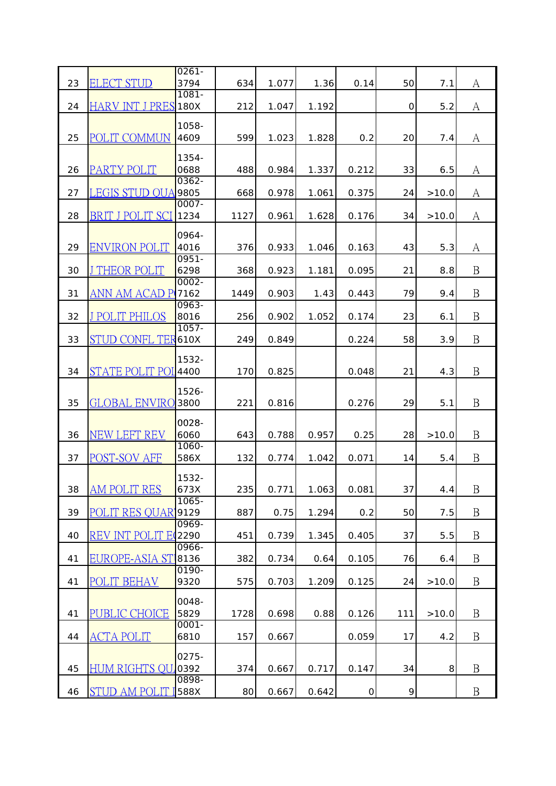|    |                             | $0261 -$         |      |       |       |            |     |       |                  |
|----|-----------------------------|------------------|------|-------|-------|------------|-----|-------|------------------|
| 23 | <b>ELECT STUD</b>           | 3794             | 634  | 1.077 | 1.36  | 0.14       | 50  | 7.1   | A                |
| 24 | <b>HARV INT J PRES 180X</b> | $1081 -$         | 212  | 1.047 | 1.192 |            | 0   | 5.2   | A                |
|    |                             |                  |      |       |       |            |     |       |                  |
| 25 | <b>POLIT COMMUN</b>         | 1058-<br>4609    | 599  | 1.023 | 1.828 | 0.2        | 20  | 7.4   | A                |
| 26 | PARTY POLIT                 | $1354 -$<br>0688 | 488  | 0.984 | 1.337 | 0.212      | 33  | 6.5   | A                |
| 27 | LEGIS STUD OUA              | $0362 -$<br>9805 | 668  | 0.978 | 1.061 | 0.375      | 24  | >10.0 | A                |
| 28 | BRIT J POLIT SC             | $0007 -$<br>1234 | 1127 | 0.961 | 1.628 | 0.176      | 34  | >10.0 | A                |
| 29 | <b>ENVIRON POLIT</b>        | 0964-<br>4016    | 376  | 0.933 | 1.046 | 0.163      | 43  | 5.3   | A                |
| 30 | J THEOR POLIT               | $0951 -$<br>6298 | 368  | 0.923 | 1.181 | 0.095      | 21  | 8.8   | $\mathbf B$      |
| 31 | ANN AM ACAD P               | $0002 -$<br>7162 | 1449 | 0.903 | 1.43  | 0.443      | 79  | 9.4   | $\mathbf{B}$     |
| 32 | <b>J POLIT PHILOS</b>       | $0963 -$<br>8016 | 256  | 0.902 | 1.052 | 0.174      | 23  | 6.1   | $\mathbf{B}$     |
| 33 | STUD CONFL TER              | $1057 -$<br>610X | 249  | 0.849 |       | 0.224      | 58  | 3.9   | B                |
| 34 | <b>STATE POLIT POI</b>      | 1532-<br>4400    | 170  | 0.825 |       | 0.048      | 21  | 4.3   | $\mathbf{B}$     |
| 35 | <b>GLOBAL ENVIRO</b>        | 1526-<br>3800    | 221  | 0.816 |       | 0.276      | 29  | 5.1   | B                |
| 36 | <b>NEW LEFT REV</b>         | 0028-<br>6060    | 643  | 0.788 | 0.957 | 0.25       | 28  | >10.0 | B                |
| 37 | POST-SOV AFE                | $1060 -$<br>586X | 132  | 0.774 | 1.042 | 0.071      | 14  | 5.4   | B                |
| 38 | <b>AM POLIT RES</b>         | 1532-<br>673X    | 235  | 0.771 | 1.063 | 0.081      | 37  | 4.4   | $\overline{B}$   |
| 39 | POLIT RES OUAR'             | $1065 -$<br>9129 | 887  | 0.75  | 1.294 | 0.2        | 50  | 7.5   | $\mathbf B$      |
| 40 | REV INT POLIT EQ            | $0969-$<br>2290  | 451  | 0.739 | 1.345 | 0.405      | 37  | 5.5   | $\mathbf B$      |
| 41 | <u>EUROPE-ASIA STI</u>      | 0966-<br>8136    | 382  | 0.734 | 0.64  | 0.105      | 76  | 6.4   | $\boldsymbol{B}$ |
| 41 | POLIT BEHAV                 | 0190-<br>9320    | 575  | 0.703 | 1.209 | 0.125      | 24  | >10.0 | $\mathbf B$      |
| 41 | PUBLIC CHOICE               | 0048-<br>5829    | 1728 | 0.698 | 0.88  | 0.126      | 111 | >10.0 | B                |
| 44 | <b>ACTA POLIT</b>           | $0001 -$<br>6810 | 157  | 0.667 |       | 0.059      | 17  | 4.2   | $\mathbf B$      |
| 45 | HUM RIGHTS OU               | 0275-<br>0392    | 374  | 0.667 | 0.717 | 0.147      | 34  | 8     | $\mathbf B$      |
| 46 | <u>STUD AM POLIT</u>        | 0898-<br>588X    | 80   | 0.667 | 0.642 | $\mbox{O}$ | 9   |       | B                |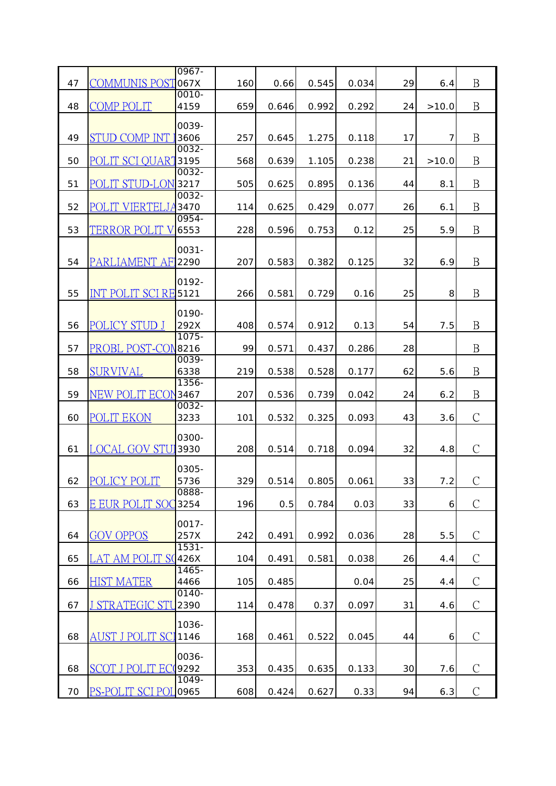| B<br><u>COMMUNIS POST</u><br>067X<br>47<br>29<br>160<br>0.545<br>0.034<br>0.66<br>6.4<br>0010-<br>$\mathbf B$<br>COMP POLIT<br>48<br>4159<br>659<br>0.646<br>0.992<br>0.292<br>24<br>>10.0<br>0039-<br>$\mathbf B$<br><b>STUD COMP INT</b><br>49<br>3606<br>257<br>1.275<br>0.118<br>17<br>7<br>0.645<br>0032-<br>$\mathbf B$<br>POLIT SCI QUART<br>3195<br>50<br>568<br>0.238<br>21<br>0.639<br>1.105<br>>10.0<br>0032-<br>$\boldsymbol{B}$<br>51<br>POLIT STUD-LON<br>3217<br>0.136<br>505<br>0.625<br>0.895<br>44<br>8.1<br>0032-<br>$\mathbf B$<br>52<br>POLIT VIERTELJA<br>3470<br>26<br>114<br>0.625<br>0.429<br>0.077<br>6.1<br>0954-<br>$\mathbf B$<br>53<br>TERROR POLIT V<br>6553<br>228<br>0.596<br>0.753<br>0.12<br>25<br>5.9<br>$0031 -$<br>$\mathbf B$<br>54<br>PARLIAMENT AFI<br>2290<br>207<br>0.583<br>0.382<br>0.125<br>32<br>6.9<br>0192-<br>$\mathbf{B}$<br>55<br>INT POLIT SCI RE<br>0.16<br>25<br>5121<br>266<br>0.581<br>0.729<br>8<br>0190-<br>POLICY STUD J<br>B<br>292X<br>56<br>408<br>0.574<br>0.912<br>0.13<br>54<br>7.5<br>$1075 -$<br>$\mathbf B$<br>PROBL POST-CON<br>8216<br>99<br>57<br>0.571<br>0.437<br>0.286<br>28<br>0039-<br>$\mathbf B$<br><b>SURVIVAL</b><br>58<br>6338<br>219<br>0.538<br>0.528<br>0.177<br>62<br>5.6<br>1356-<br>$\mathbf B$<br>59<br>3467<br>NEW POLIT ECON<br>207<br>0.536<br>0.739<br>0.042<br>24<br>6.2<br>0032-<br>$\mathcal{C}$<br><b>POLIT EKON</b><br>60<br>3233<br>0.532<br>43<br>101<br>0.325<br>0.093<br>3.6<br>0300-<br>$\mathcal{C}$<br><b>LOCAL GOV STU</b><br>0.094<br>32<br>61<br>3930<br>208<br>0.514<br>0.718<br>4.8<br>0305-<br>POLICY POLIT<br>$\mathcal{C}$<br>329<br>33<br>7.2<br>62<br>5736<br>0.514<br>0.805<br>0.061<br>0888-<br>$\mathcal{C}$<br>63<br>E EUR POLIT SOC<br>3254<br>196<br>0.784<br>0.03<br>33<br>0.5<br>6<br>$0017 -$<br>$\mathcal{C}$<br><b>GOV OPPOS</b><br>64<br>257X<br>242<br>0.491<br>0.992<br>0.036<br>28<br>5.5<br>$1531 -$<br>$\mathcal{C}$<br>LAT AM POLIT S(426X<br>65<br>0.581<br>0.038<br>26<br>104<br>0.491<br>4.4<br>1465-<br>$\mathcal{C}$<br><b>HIST MATER</b><br>4466<br>105<br>25<br>66<br>0.485<br>0.04<br>4.4<br>$0140 -$<br>$\mathcal{C}$<br>J STRATEGIC STU<br>2390<br>67<br>0.37<br>0.097<br>31<br>114<br>0.478<br>4.6<br>1036-<br>$\mathcal{C}$<br>AUST J POLIT SCI<br>68<br>1146<br>168<br>0.461<br>0.522<br>0.045<br>44<br>6<br>0036-<br>$\mathcal{C}$<br>68<br><b>SCOT J POL</b><br>9292<br>353<br>0.435<br>0.635<br>0.133<br>30<br>7.6<br>1049-<br>$\mathcal{C}$<br><u>PS-POLIT SCI POI</u><br>0965<br>608<br>0.424<br>0.33<br>94<br>70<br>0.627<br>6.3 |  | $0967 -$ |  |  |  |  |
|------------------------------------------------------------------------------------------------------------------------------------------------------------------------------------------------------------------------------------------------------------------------------------------------------------------------------------------------------------------------------------------------------------------------------------------------------------------------------------------------------------------------------------------------------------------------------------------------------------------------------------------------------------------------------------------------------------------------------------------------------------------------------------------------------------------------------------------------------------------------------------------------------------------------------------------------------------------------------------------------------------------------------------------------------------------------------------------------------------------------------------------------------------------------------------------------------------------------------------------------------------------------------------------------------------------------------------------------------------------------------------------------------------------------------------------------------------------------------------------------------------------------------------------------------------------------------------------------------------------------------------------------------------------------------------------------------------------------------------------------------------------------------------------------------------------------------------------------------------------------------------------------------------------------------------------------------------------------------------------------------------------------------------------------------------------------------------------------------------------------------------------------------------------------------------------------------------------------------------------------------------------------------------------------------------------------------------------------------------------------------------------------------------------------------------------------------------------------------------------------------------------------------------------------------------------------------------------|--|----------|--|--|--|--|
|                                                                                                                                                                                                                                                                                                                                                                                                                                                                                                                                                                                                                                                                                                                                                                                                                                                                                                                                                                                                                                                                                                                                                                                                                                                                                                                                                                                                                                                                                                                                                                                                                                                                                                                                                                                                                                                                                                                                                                                                                                                                                                                                                                                                                                                                                                                                                                                                                                                                                                                                                                                          |  |          |  |  |  |  |
|                                                                                                                                                                                                                                                                                                                                                                                                                                                                                                                                                                                                                                                                                                                                                                                                                                                                                                                                                                                                                                                                                                                                                                                                                                                                                                                                                                                                                                                                                                                                                                                                                                                                                                                                                                                                                                                                                                                                                                                                                                                                                                                                                                                                                                                                                                                                                                                                                                                                                                                                                                                          |  |          |  |  |  |  |
|                                                                                                                                                                                                                                                                                                                                                                                                                                                                                                                                                                                                                                                                                                                                                                                                                                                                                                                                                                                                                                                                                                                                                                                                                                                                                                                                                                                                                                                                                                                                                                                                                                                                                                                                                                                                                                                                                                                                                                                                                                                                                                                                                                                                                                                                                                                                                                                                                                                                                                                                                                                          |  |          |  |  |  |  |
|                                                                                                                                                                                                                                                                                                                                                                                                                                                                                                                                                                                                                                                                                                                                                                                                                                                                                                                                                                                                                                                                                                                                                                                                                                                                                                                                                                                                                                                                                                                                                                                                                                                                                                                                                                                                                                                                                                                                                                                                                                                                                                                                                                                                                                                                                                                                                                                                                                                                                                                                                                                          |  |          |  |  |  |  |
|                                                                                                                                                                                                                                                                                                                                                                                                                                                                                                                                                                                                                                                                                                                                                                                                                                                                                                                                                                                                                                                                                                                                                                                                                                                                                                                                                                                                                                                                                                                                                                                                                                                                                                                                                                                                                                                                                                                                                                                                                                                                                                                                                                                                                                                                                                                                                                                                                                                                                                                                                                                          |  |          |  |  |  |  |
|                                                                                                                                                                                                                                                                                                                                                                                                                                                                                                                                                                                                                                                                                                                                                                                                                                                                                                                                                                                                                                                                                                                                                                                                                                                                                                                                                                                                                                                                                                                                                                                                                                                                                                                                                                                                                                                                                                                                                                                                                                                                                                                                                                                                                                                                                                                                                                                                                                                                                                                                                                                          |  |          |  |  |  |  |
|                                                                                                                                                                                                                                                                                                                                                                                                                                                                                                                                                                                                                                                                                                                                                                                                                                                                                                                                                                                                                                                                                                                                                                                                                                                                                                                                                                                                                                                                                                                                                                                                                                                                                                                                                                                                                                                                                                                                                                                                                                                                                                                                                                                                                                                                                                                                                                                                                                                                                                                                                                                          |  |          |  |  |  |  |
|                                                                                                                                                                                                                                                                                                                                                                                                                                                                                                                                                                                                                                                                                                                                                                                                                                                                                                                                                                                                                                                                                                                                                                                                                                                                                                                                                                                                                                                                                                                                                                                                                                                                                                                                                                                                                                                                                                                                                                                                                                                                                                                                                                                                                                                                                                                                                                                                                                                                                                                                                                                          |  |          |  |  |  |  |
|                                                                                                                                                                                                                                                                                                                                                                                                                                                                                                                                                                                                                                                                                                                                                                                                                                                                                                                                                                                                                                                                                                                                                                                                                                                                                                                                                                                                                                                                                                                                                                                                                                                                                                                                                                                                                                                                                                                                                                                                                                                                                                                                                                                                                                                                                                                                                                                                                                                                                                                                                                                          |  |          |  |  |  |  |
|                                                                                                                                                                                                                                                                                                                                                                                                                                                                                                                                                                                                                                                                                                                                                                                                                                                                                                                                                                                                                                                                                                                                                                                                                                                                                                                                                                                                                                                                                                                                                                                                                                                                                                                                                                                                                                                                                                                                                                                                                                                                                                                                                                                                                                                                                                                                                                                                                                                                                                                                                                                          |  |          |  |  |  |  |
|                                                                                                                                                                                                                                                                                                                                                                                                                                                                                                                                                                                                                                                                                                                                                                                                                                                                                                                                                                                                                                                                                                                                                                                                                                                                                                                                                                                                                                                                                                                                                                                                                                                                                                                                                                                                                                                                                                                                                                                                                                                                                                                                                                                                                                                                                                                                                                                                                                                                                                                                                                                          |  |          |  |  |  |  |
|                                                                                                                                                                                                                                                                                                                                                                                                                                                                                                                                                                                                                                                                                                                                                                                                                                                                                                                                                                                                                                                                                                                                                                                                                                                                                                                                                                                                                                                                                                                                                                                                                                                                                                                                                                                                                                                                                                                                                                                                                                                                                                                                                                                                                                                                                                                                                                                                                                                                                                                                                                                          |  |          |  |  |  |  |
|                                                                                                                                                                                                                                                                                                                                                                                                                                                                                                                                                                                                                                                                                                                                                                                                                                                                                                                                                                                                                                                                                                                                                                                                                                                                                                                                                                                                                                                                                                                                                                                                                                                                                                                                                                                                                                                                                                                                                                                                                                                                                                                                                                                                                                                                                                                                                                                                                                                                                                                                                                                          |  |          |  |  |  |  |
|                                                                                                                                                                                                                                                                                                                                                                                                                                                                                                                                                                                                                                                                                                                                                                                                                                                                                                                                                                                                                                                                                                                                                                                                                                                                                                                                                                                                                                                                                                                                                                                                                                                                                                                                                                                                                                                                                                                                                                                                                                                                                                                                                                                                                                                                                                                                                                                                                                                                                                                                                                                          |  |          |  |  |  |  |
|                                                                                                                                                                                                                                                                                                                                                                                                                                                                                                                                                                                                                                                                                                                                                                                                                                                                                                                                                                                                                                                                                                                                                                                                                                                                                                                                                                                                                                                                                                                                                                                                                                                                                                                                                                                                                                                                                                                                                                                                                                                                                                                                                                                                                                                                                                                                                                                                                                                                                                                                                                                          |  |          |  |  |  |  |
|                                                                                                                                                                                                                                                                                                                                                                                                                                                                                                                                                                                                                                                                                                                                                                                                                                                                                                                                                                                                                                                                                                                                                                                                                                                                                                                                                                                                                                                                                                                                                                                                                                                                                                                                                                                                                                                                                                                                                                                                                                                                                                                                                                                                                                                                                                                                                                                                                                                                                                                                                                                          |  |          |  |  |  |  |
|                                                                                                                                                                                                                                                                                                                                                                                                                                                                                                                                                                                                                                                                                                                                                                                                                                                                                                                                                                                                                                                                                                                                                                                                                                                                                                                                                                                                                                                                                                                                                                                                                                                                                                                                                                                                                                                                                                                                                                                                                                                                                                                                                                                                                                                                                                                                                                                                                                                                                                                                                                                          |  |          |  |  |  |  |
|                                                                                                                                                                                                                                                                                                                                                                                                                                                                                                                                                                                                                                                                                                                                                                                                                                                                                                                                                                                                                                                                                                                                                                                                                                                                                                                                                                                                                                                                                                                                                                                                                                                                                                                                                                                                                                                                                                                                                                                                                                                                                                                                                                                                                                                                                                                                                                                                                                                                                                                                                                                          |  |          |  |  |  |  |
|                                                                                                                                                                                                                                                                                                                                                                                                                                                                                                                                                                                                                                                                                                                                                                                                                                                                                                                                                                                                                                                                                                                                                                                                                                                                                                                                                                                                                                                                                                                                                                                                                                                                                                                                                                                                                                                                                                                                                                                                                                                                                                                                                                                                                                                                                                                                                                                                                                                                                                                                                                                          |  |          |  |  |  |  |
|                                                                                                                                                                                                                                                                                                                                                                                                                                                                                                                                                                                                                                                                                                                                                                                                                                                                                                                                                                                                                                                                                                                                                                                                                                                                                                                                                                                                                                                                                                                                                                                                                                                                                                                                                                                                                                                                                                                                                                                                                                                                                                                                                                                                                                                                                                                                                                                                                                                                                                                                                                                          |  |          |  |  |  |  |
|                                                                                                                                                                                                                                                                                                                                                                                                                                                                                                                                                                                                                                                                                                                                                                                                                                                                                                                                                                                                                                                                                                                                                                                                                                                                                                                                                                                                                                                                                                                                                                                                                                                                                                                                                                                                                                                                                                                                                                                                                                                                                                                                                                                                                                                                                                                                                                                                                                                                                                                                                                                          |  |          |  |  |  |  |
|                                                                                                                                                                                                                                                                                                                                                                                                                                                                                                                                                                                                                                                                                                                                                                                                                                                                                                                                                                                                                                                                                                                                                                                                                                                                                                                                                                                                                                                                                                                                                                                                                                                                                                                                                                                                                                                                                                                                                                                                                                                                                                                                                                                                                                                                                                                                                                                                                                                                                                                                                                                          |  |          |  |  |  |  |
|                                                                                                                                                                                                                                                                                                                                                                                                                                                                                                                                                                                                                                                                                                                                                                                                                                                                                                                                                                                                                                                                                                                                                                                                                                                                                                                                                                                                                                                                                                                                                                                                                                                                                                                                                                                                                                                                                                                                                                                                                                                                                                                                                                                                                                                                                                                                                                                                                                                                                                                                                                                          |  |          |  |  |  |  |
|                                                                                                                                                                                                                                                                                                                                                                                                                                                                                                                                                                                                                                                                                                                                                                                                                                                                                                                                                                                                                                                                                                                                                                                                                                                                                                                                                                                                                                                                                                                                                                                                                                                                                                                                                                                                                                                                                                                                                                                                                                                                                                                                                                                                                                                                                                                                                                                                                                                                                                                                                                                          |  |          |  |  |  |  |
|                                                                                                                                                                                                                                                                                                                                                                                                                                                                                                                                                                                                                                                                                                                                                                                                                                                                                                                                                                                                                                                                                                                                                                                                                                                                                                                                                                                                                                                                                                                                                                                                                                                                                                                                                                                                                                                                                                                                                                                                                                                                                                                                                                                                                                                                                                                                                                                                                                                                                                                                                                                          |  |          |  |  |  |  |
|                                                                                                                                                                                                                                                                                                                                                                                                                                                                                                                                                                                                                                                                                                                                                                                                                                                                                                                                                                                                                                                                                                                                                                                                                                                                                                                                                                                                                                                                                                                                                                                                                                                                                                                                                                                                                                                                                                                                                                                                                                                                                                                                                                                                                                                                                                                                                                                                                                                                                                                                                                                          |  |          |  |  |  |  |
|                                                                                                                                                                                                                                                                                                                                                                                                                                                                                                                                                                                                                                                                                                                                                                                                                                                                                                                                                                                                                                                                                                                                                                                                                                                                                                                                                                                                                                                                                                                                                                                                                                                                                                                                                                                                                                                                                                                                                                                                                                                                                                                                                                                                                                                                                                                                                                                                                                                                                                                                                                                          |  |          |  |  |  |  |
|                                                                                                                                                                                                                                                                                                                                                                                                                                                                                                                                                                                                                                                                                                                                                                                                                                                                                                                                                                                                                                                                                                                                                                                                                                                                                                                                                                                                                                                                                                                                                                                                                                                                                                                                                                                                                                                                                                                                                                                                                                                                                                                                                                                                                                                                                                                                                                                                                                                                                                                                                                                          |  |          |  |  |  |  |
|                                                                                                                                                                                                                                                                                                                                                                                                                                                                                                                                                                                                                                                                                                                                                                                                                                                                                                                                                                                                                                                                                                                                                                                                                                                                                                                                                                                                                                                                                                                                                                                                                                                                                                                                                                                                                                                                                                                                                                                                                                                                                                                                                                                                                                                                                                                                                                                                                                                                                                                                                                                          |  |          |  |  |  |  |
|                                                                                                                                                                                                                                                                                                                                                                                                                                                                                                                                                                                                                                                                                                                                                                                                                                                                                                                                                                                                                                                                                                                                                                                                                                                                                                                                                                                                                                                                                                                                                                                                                                                                                                                                                                                                                                                                                                                                                                                                                                                                                                                                                                                                                                                                                                                                                                                                                                                                                                                                                                                          |  |          |  |  |  |  |
|                                                                                                                                                                                                                                                                                                                                                                                                                                                                                                                                                                                                                                                                                                                                                                                                                                                                                                                                                                                                                                                                                                                                                                                                                                                                                                                                                                                                                                                                                                                                                                                                                                                                                                                                                                                                                                                                                                                                                                                                                                                                                                                                                                                                                                                                                                                                                                                                                                                                                                                                                                                          |  |          |  |  |  |  |
|                                                                                                                                                                                                                                                                                                                                                                                                                                                                                                                                                                                                                                                                                                                                                                                                                                                                                                                                                                                                                                                                                                                                                                                                                                                                                                                                                                                                                                                                                                                                                                                                                                                                                                                                                                                                                                                                                                                                                                                                                                                                                                                                                                                                                                                                                                                                                                                                                                                                                                                                                                                          |  |          |  |  |  |  |
|                                                                                                                                                                                                                                                                                                                                                                                                                                                                                                                                                                                                                                                                                                                                                                                                                                                                                                                                                                                                                                                                                                                                                                                                                                                                                                                                                                                                                                                                                                                                                                                                                                                                                                                                                                                                                                                                                                                                                                                                                                                                                                                                                                                                                                                                                                                                                                                                                                                                                                                                                                                          |  |          |  |  |  |  |
|                                                                                                                                                                                                                                                                                                                                                                                                                                                                                                                                                                                                                                                                                                                                                                                                                                                                                                                                                                                                                                                                                                                                                                                                                                                                                                                                                                                                                                                                                                                                                                                                                                                                                                                                                                                                                                                                                                                                                                                                                                                                                                                                                                                                                                                                                                                                                                                                                                                                                                                                                                                          |  |          |  |  |  |  |
|                                                                                                                                                                                                                                                                                                                                                                                                                                                                                                                                                                                                                                                                                                                                                                                                                                                                                                                                                                                                                                                                                                                                                                                                                                                                                                                                                                                                                                                                                                                                                                                                                                                                                                                                                                                                                                                                                                                                                                                                                                                                                                                                                                                                                                                                                                                                                                                                                                                                                                                                                                                          |  |          |  |  |  |  |
|                                                                                                                                                                                                                                                                                                                                                                                                                                                                                                                                                                                                                                                                                                                                                                                                                                                                                                                                                                                                                                                                                                                                                                                                                                                                                                                                                                                                                                                                                                                                                                                                                                                                                                                                                                                                                                                                                                                                                                                                                                                                                                                                                                                                                                                                                                                                                                                                                                                                                                                                                                                          |  |          |  |  |  |  |
|                                                                                                                                                                                                                                                                                                                                                                                                                                                                                                                                                                                                                                                                                                                                                                                                                                                                                                                                                                                                                                                                                                                                                                                                                                                                                                                                                                                                                                                                                                                                                                                                                                                                                                                                                                                                                                                                                                                                                                                                                                                                                                                                                                                                                                                                                                                                                                                                                                                                                                                                                                                          |  |          |  |  |  |  |
|                                                                                                                                                                                                                                                                                                                                                                                                                                                                                                                                                                                                                                                                                                                                                                                                                                                                                                                                                                                                                                                                                                                                                                                                                                                                                                                                                                                                                                                                                                                                                                                                                                                                                                                                                                                                                                                                                                                                                                                                                                                                                                                                                                                                                                                                                                                                                                                                                                                                                                                                                                                          |  |          |  |  |  |  |
|                                                                                                                                                                                                                                                                                                                                                                                                                                                                                                                                                                                                                                                                                                                                                                                                                                                                                                                                                                                                                                                                                                                                                                                                                                                                                                                                                                                                                                                                                                                                                                                                                                                                                                                                                                                                                                                                                                                                                                                                                                                                                                                                                                                                                                                                                                                                                                                                                                                                                                                                                                                          |  |          |  |  |  |  |
|                                                                                                                                                                                                                                                                                                                                                                                                                                                                                                                                                                                                                                                                                                                                                                                                                                                                                                                                                                                                                                                                                                                                                                                                                                                                                                                                                                                                                                                                                                                                                                                                                                                                                                                                                                                                                                                                                                                                                                                                                                                                                                                                                                                                                                                                                                                                                                                                                                                                                                                                                                                          |  |          |  |  |  |  |
|                                                                                                                                                                                                                                                                                                                                                                                                                                                                                                                                                                                                                                                                                                                                                                                                                                                                                                                                                                                                                                                                                                                                                                                                                                                                                                                                                                                                                                                                                                                                                                                                                                                                                                                                                                                                                                                                                                                                                                                                                                                                                                                                                                                                                                                                                                                                                                                                                                                                                                                                                                                          |  |          |  |  |  |  |
|                                                                                                                                                                                                                                                                                                                                                                                                                                                                                                                                                                                                                                                                                                                                                                                                                                                                                                                                                                                                                                                                                                                                                                                                                                                                                                                                                                                                                                                                                                                                                                                                                                                                                                                                                                                                                                                                                                                                                                                                                                                                                                                                                                                                                                                                                                                                                                                                                                                                                                                                                                                          |  |          |  |  |  |  |
|                                                                                                                                                                                                                                                                                                                                                                                                                                                                                                                                                                                                                                                                                                                                                                                                                                                                                                                                                                                                                                                                                                                                                                                                                                                                                                                                                                                                                                                                                                                                                                                                                                                                                                                                                                                                                                                                                                                                                                                                                                                                                                                                                                                                                                                                                                                                                                                                                                                                                                                                                                                          |  |          |  |  |  |  |
|                                                                                                                                                                                                                                                                                                                                                                                                                                                                                                                                                                                                                                                                                                                                                                                                                                                                                                                                                                                                                                                                                                                                                                                                                                                                                                                                                                                                                                                                                                                                                                                                                                                                                                                                                                                                                                                                                                                                                                                                                                                                                                                                                                                                                                                                                                                                                                                                                                                                                                                                                                                          |  |          |  |  |  |  |
|                                                                                                                                                                                                                                                                                                                                                                                                                                                                                                                                                                                                                                                                                                                                                                                                                                                                                                                                                                                                                                                                                                                                                                                                                                                                                                                                                                                                                                                                                                                                                                                                                                                                                                                                                                                                                                                                                                                                                                                                                                                                                                                                                                                                                                                                                                                                                                                                                                                                                                                                                                                          |  |          |  |  |  |  |
|                                                                                                                                                                                                                                                                                                                                                                                                                                                                                                                                                                                                                                                                                                                                                                                                                                                                                                                                                                                                                                                                                                                                                                                                                                                                                                                                                                                                                                                                                                                                                                                                                                                                                                                                                                                                                                                                                                                                                                                                                                                                                                                                                                                                                                                                                                                                                                                                                                                                                                                                                                                          |  |          |  |  |  |  |
|                                                                                                                                                                                                                                                                                                                                                                                                                                                                                                                                                                                                                                                                                                                                                                                                                                                                                                                                                                                                                                                                                                                                                                                                                                                                                                                                                                                                                                                                                                                                                                                                                                                                                                                                                                                                                                                                                                                                                                                                                                                                                                                                                                                                                                                                                                                                                                                                                                                                                                                                                                                          |  |          |  |  |  |  |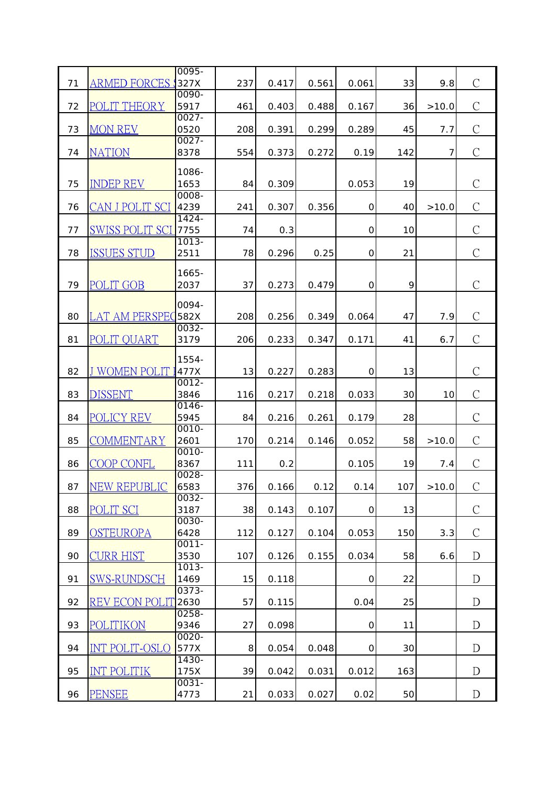|    |                        | 0095-            |     |       |       |                     |     |       |                |
|----|------------------------|------------------|-----|-------|-------|---------------------|-----|-------|----------------|
| 71 | ARMED FORCES :         | 327X             | 237 | 0.417 | 0.561 | 0.061               | 33  | 9.8   | $\mathcal{C}$  |
|    |                        | 0090-            |     |       |       |                     |     |       |                |
| 72 | POLIT THEORY           | 5917             | 461 | 0.403 | 0.488 | 0.167               | 36  | >10.0 | $\mathcal{C}$  |
|    |                        | $0027 -$         |     |       |       |                     |     |       |                |
| 73 | <b>MON REV</b>         | 0520             | 208 | 0.391 | 0.299 | 0.289               | 45  | 7.7   | $\mathcal{C}$  |
| 74 |                        | $0027 -$<br>8378 |     |       |       |                     |     | 7     | $\mathcal{C}$  |
|    | <b>NATION</b>          |                  | 554 | 0.373 | 0.272 | 0.19                | 142 |       |                |
|    |                        | 1086-            |     |       |       |                     |     |       |                |
| 75 | <b>INDEP REV</b>       | 1653             | 84  | 0.309 |       | 0.053               | 19  |       | $\mathcal{C}$  |
|    |                        | $0008 -$         |     |       |       |                     |     |       |                |
| 76 | CAN J POLIT SCI        | 4239             | 241 | 0.307 | 0.356 | $\mathbf 0$         | 40  | >10.0 | $\mathcal{C}$  |
|    |                        | $1424 -$         |     |       |       |                     |     |       | $\mathcal{C}$  |
| 77 | <b>SWISS POLIT SCI</b> | 7755<br>$1013 -$ | 74  | 0.3   |       | $\mathbf 0$         | 10  |       |                |
| 78 | <b>ISSUES STUD</b>     | 2511             | 78  | 0.296 | 0.25  | 0                   | 21  |       | $\mathcal{C}$  |
|    |                        |                  |     |       |       |                     |     |       |                |
|    |                        | 1665-            |     |       |       |                     |     |       |                |
| 79 | <b>POLIT GOB</b>       | 2037             | 37  | 0.273 | 0.479 | $\mathsf{O}\xspace$ | 9   |       | $\mathcal{C}$  |
|    |                        | $0094 -$         |     |       |       |                     |     |       |                |
| 80 | LAT AM PERSPEC         | 582X             | 208 | 0.256 | 0.349 | 0.064               | 47  | 7.9   | $\mathcal{C}$  |
|    |                        | 0032-            |     |       |       |                     |     |       |                |
| 81 | POLIT QUART            | 3179             | 206 | 0.233 | 0.347 | 0.171               | 41  | 6.7   | $\mathcal{C}$  |
|    |                        |                  |     |       |       |                     |     |       |                |
|    |                        | $1554 -$         |     |       |       |                     |     |       |                |
| 82 | <b>J WOMEN POLIT</b>   | 477X             | 13  | 0.227 | 0.283 | $\mathbf 0$         | 13  |       | $\mathcal{C}$  |
| 83 | DISSENT                | $0012 -$<br>3846 |     | 0.217 | 0.218 | 0.033               | 30  |       | $\mathcal{C}$  |
|    |                        | 0146-            | 116 |       |       |                     |     | 10    |                |
| 84 | <b>POLICY REV</b>      | 5945             | 84  | 0.216 | 0.261 | 0.179               | 28  |       | $\mathcal{C}$  |
|    |                        | 0010-            |     |       |       |                     |     |       |                |
| 85 | COMMENTARY             | 2601             | 170 | 0.214 | 0.146 | 0.052               | 58  | >10.0 | $\mathcal{C}$  |
|    |                        | 0010-            |     |       |       |                     |     |       |                |
| 86 | COOP CONFL             | 8367             | 111 | 0.2   |       | 0.105               | 19  | 7.4   | $\overline{C}$ |
|    |                        | 0028-            |     |       |       |                     |     |       |                |
| 87 | <b>NEW REPUBLIC</b>    | 6583             | 376 | 0.166 | 0.12  | 0.14                | 107 | >10.0 | $\mathcal{C}$  |
| 88 | <b>POLIT SCI</b>       | 0032-<br>3187    | 38  |       | 0.107 |                     | 13  |       | $\mathcal{C}$  |
|    |                        | $0030 -$         |     | 0.143 |       | $\mathsf O$         |     |       |                |
| 89 | <b>OSTEUROPA</b>       | 6428             | 112 | 0.127 | 0.104 | 0.053               | 150 | 3.3   | $\mathcal{C}$  |
|    |                        | $0011 -$         |     |       |       |                     |     |       |                |
| 90 | <b>CURR HIST</b>       | 3530             | 107 | 0.126 | 0.155 | 0.034               | 58  | 6.6   | D              |
|    |                        | $1013 -$         |     |       |       |                     |     |       |                |
| 91 | <b>SWS-RUNDSCH</b>     | 1469             | 15  | 0.118 |       | $\mbox{O}$          | 22  |       | D              |
|    |                        | $0373-$          |     |       |       |                     |     |       |                |
| 92 | <b>REV ECON POLIT</b>  | 2630             | 57  | 0.115 |       | 0.04                | 25  |       | D              |
| 93 |                        | $0258 -$<br>9346 |     |       |       |                     |     |       | D              |
|    | <b>POLITIKON</b>       | $0020 -$         | 27  | 0.098 |       | $\mbox{O}$          | 11  |       |                |
| 94 | <b>INT POLIT-OSLO</b>  | 577X             | 8   | 0.054 | 0.048 | $\mathsf{O}\xspace$ | 30  |       | D              |
|    |                        | $1430 -$         |     |       |       |                     |     |       |                |
| 95 | <b>INT POLITIK</b>     | 175X             | 39  | 0.042 | 0.031 | 0.012               | 163 |       | D              |
|    |                        | $0031 -$         |     |       |       |                     |     |       |                |
| 96 | <b>PENSEE</b>          | 4773             | 21  | 0.033 | 0.027 | 0.02                | 50  |       | D              |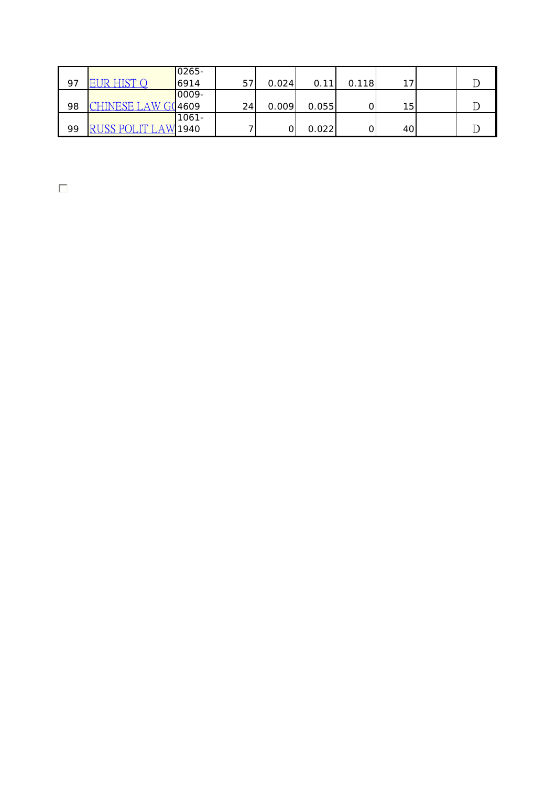|    |                     | $0265 -$ |    |       |       |       |                 |  |
|----|---------------------|----------|----|-------|-------|-------|-----------------|--|
| 97 | <b>EUR HIST OF</b>  | 6914     | 57 | 0.024 | 0.11  | 0.118 | 17              |  |
|    |                     | 0009-    |    |       |       |       |                 |  |
| 98 | CHINESE LAW G(4609  |          | 24 | 0.009 | 0.055 |       | 15 <sub>l</sub> |  |
|    |                     | $1061 -$ |    |       |       |       |                 |  |
| 99 | RUSS POLIT LAW 1940 |          |    |       | 0.022 |       | 40              |  |

 $\Box$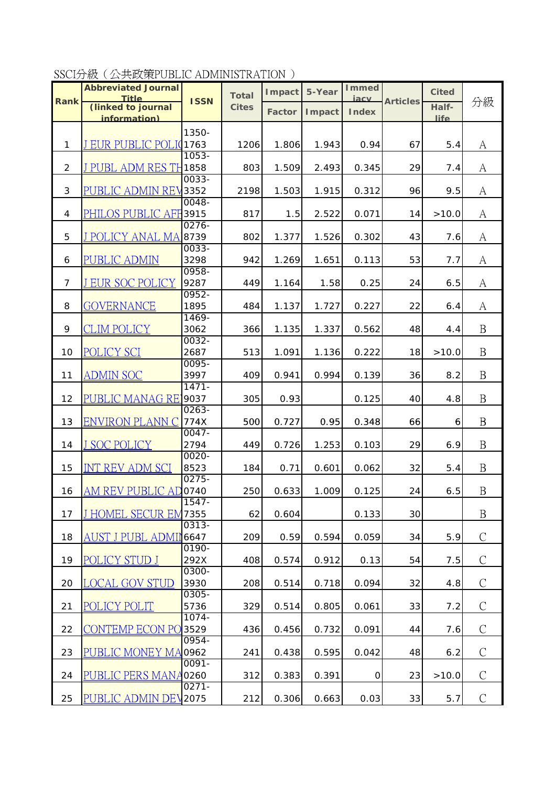SSCI分級(公共政策PUBLIC ADMINISTRATION )

|                | <b>Abbreviated Journal</b><br><b>Title</b> |                  | <b>Total</b> | <b>I</b> mpact | 5-Year         | <b>I</b> mmed        |                 | <b>Cited</b> |                  |
|----------------|--------------------------------------------|------------------|--------------|----------------|----------------|----------------------|-----------------|--------------|------------------|
| <b>Rank</b>    | (linked to journal                         | <b>ISSN</b>      | <b>Cites</b> | <b>Factor</b>  | <b>I</b> mpact | iacy<br><b>Index</b> | <b>Articles</b> | Half-        | 分級               |
|                | <i>information</i> )                       |                  |              |                |                |                      |                 | life         |                  |
|                |                                            | 1350-            |              |                |                |                      |                 |              |                  |
| $\mathbf{1}$   | J EUR PUBLIC POLI 1763                     |                  | 1206         | 1.806          | 1.943          | 0.94                 | 67              | 5.4          | A                |
|                |                                            | $1053 -$         |              |                |                |                      |                 |              |                  |
| $\overline{2}$ | J PUBL ADM RES TH1858                      |                  | 803          | 1.509          | 2.493          | 0.345                | 29              | 7.4          | A                |
| $\mathbf{3}$   | <u>PUBLIC ADMIN REV</u>                    | 0033-<br>3352    | 2198         | 1.503          | 1.915          | 0.312                | 96              | 9.5          | А                |
|                |                                            | $0048 -$         |              |                |                |                      |                 |              |                  |
| 4              | PHILOS PUBLIC AFF 3915                     |                  | 817          | 1.5            | 2.522          | 0.071                | 14              | >10.0        | A                |
|                |                                            | 0276-            |              |                |                |                      |                 |              |                  |
| 5              | <b>J POLICY ANAL MA 8739</b>               |                  | 802          | 1.377          | 1.526          | 0.302                | 43              | 7.6          | A                |
|                |                                            | 0033-            |              |                |                |                      |                 |              |                  |
| 6              | <b>PUBLIC ADMIN</b>                        | 3298             | 942          | 1.269          | 1.651          | 0.113                | 53              | 7.7          | A                |
| $\overline{7}$ | <b>J EUR SOC POLICY</b>                    | $0958 -$<br>9287 | 449          | 1.164          | 1.58           | 0.25                 | 24              | 6.5          | A                |
|                |                                            | $0952 -$         |              |                |                |                      |                 |              |                  |
| 8              | <b>GOVERNANCE</b>                          | 1895             | 484          | 1.137          | 1.727          | 0.227                | 22              | 6.4          | A                |
|                |                                            | 1469-            |              |                |                |                      |                 |              |                  |
| 9              | <b>CLIM POLICY</b>                         | 3062             | 366          | 1.135          | 1.337          | 0.562                | 48              | 4.4          | $\boldsymbol{B}$ |
|                |                                            | 0032-            |              |                |                |                      |                 |              |                  |
| 10             | POLICY SCI                                 | 2687<br>$0095 -$ | 513          | 1.091          | 1.136          | 0.222                | 18              | >10.0        | $\mathbf B$      |
| 11             | <b>ADMIN SOC</b>                           | 3997             | 409          | 0.941          | 0.994          | 0.139                | 36              | 8.2          | $\mathbf B$      |
|                |                                            | $1471 -$         |              |                |                |                      |                 |              |                  |
| 12             | PUBLIC MANAG RE <sup>1</sup> 9037          |                  | 305          | 0.93           |                | 0.125                | 40              | 4.8          | $\mathbf{B}$     |
|                |                                            | $0263 -$         |              |                |                |                      |                 |              |                  |
| 13             | ENVIRON PLANN C                            | 774X             | 500          | 0.727          | 0.95           | 0.348                | 66              | 6            | $\mathbf B$      |
|                | <b>J SOC POLICY</b>                        | $0047 -$<br>2794 | 449          | 0.726          | 1.253          | 0.103                | 29              | 6.9          | $\mathbf B$      |
| 14             |                                            | $0020 -$         |              |                |                |                      |                 |              |                  |
| 15             | <b>INT REV ADM SCI</b>                     | 8523             | 184          | 0.71           | 0.601          | 0.062                | 32              | 5.4          | $\mathbf{B}$     |
|                |                                            | $0275 -$         |              |                |                |                      |                 |              |                  |
| 16             | <u>AM REV PUBLIC AD</u>                    | 0740             | 250          | 0.633          | 1.009          | 0.125                | 24              | 6.5          | $\mathbf B$      |
|                |                                            | $1547 -$         |              |                |                |                      |                 |              |                  |
| 17             | <b>J HOMEL SECUR EN</b>                    | 7355<br>$0313 -$ | 62           | 0.604          |                | 0.133                | 30              |              | $\boldsymbol{B}$ |
| 18             | AUST J PUBL ADMII                          | 6647             | 209          | 0.59           | 0.594          | 0.059                | 34              | 5.9          | $\mathcal{C}$    |
|                |                                            | $0190 -$         |              |                |                |                      |                 |              |                  |
| 19             | POLICY STUD J                              | 292X             | 408          | 0.574          | 0.912          | 0.13                 | 54              | 7.5          | $\mathcal{C}$    |
|                |                                            | 0300-            |              |                |                |                      |                 |              |                  |
| 20             | <b>LOCAL GOV STUD</b>                      | 3930             | 208          | 0.514          | 0.718          | 0.094                | 32              | 4.8          | $\mathcal{C}$    |
|                |                                            | 0305-            |              |                |                |                      |                 |              |                  |
| 21             | POLICY POLIT                               | 5736<br>$1074 -$ | 329          | 0.514          | 0.805          | 0.061                | 33              | 7.2          | $\mathcal{C}$    |
| 22             | <b>CONTEMP ECON PO 3529</b>                |                  | 436          | 0.456          | 0.732          | 0.091                | 44              | 7.6          | $\mathcal{C}$    |
|                |                                            | 0954-            |              |                |                |                      |                 |              |                  |
| 23             | PUBLIC MONEY MA0962                        |                  | 241          | 0.438          | 0.595          | 0.042                | 48              | 6.2          | $\mathcal{C}$    |
|                |                                            | $0091 -$         |              |                |                |                      |                 |              |                  |
| 24             | PUBLIC PERS MANA0260                       |                  | 312          | 0.383          | 0.391          | $\mathbf 0$          | 23              | >10.0        | $\mathcal{C}$    |
|                |                                            | $0271 -$         |              |                |                |                      |                 |              |                  |
| 25             | PUBLIC ADMIN DEV <sub>2075</sub>           |                  | 212          | 0.306          | 0.663          | 0.03                 | 33              | 5.7          | $\mathcal{C}$    |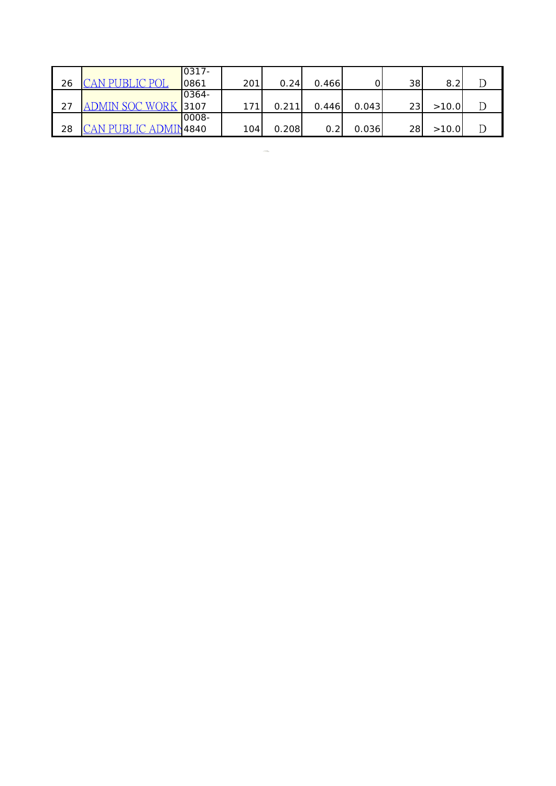|    |                      | 0317- |     |       |       |       |    |       |  |
|----|----------------------|-------|-----|-------|-------|-------|----|-------|--|
| 26 | P <sub>0</sub>       | 0861  | 201 | 0.24  | 0.466 |       | 38 | 8.2   |  |
|    |                      | 0364- |     |       |       |       |    |       |  |
| 27 | ADMIN SOC WORK       | 3107  | 171 | 0.211 | 0.446 | 0.043 | 23 | >10.0 |  |
|    |                      | 0008- |     |       |       |       |    |       |  |
| 28 | CAN PUBLIC ADMIN4840 |       | 104 | 0.208 | 0.2   | 0.036 | 28 | >10.0 |  |

 $\mathcal{L}(\mathcal{L})$  and  $\mathcal{L}(\mathcal{L})$  . In the  $\mathcal{L}(\mathcal{L})$